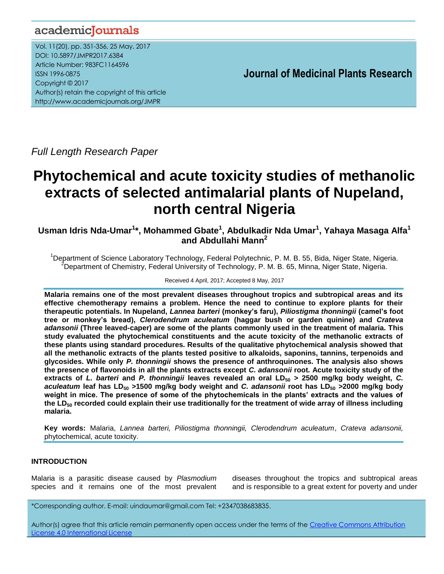## academicJournals

Vol. 11(20), pp. 351-356, 25 May, 2017 DOI: 10.5897/JMPR2017.6384 Article Number: 983FC1164596 ISSN 1996-0875 Copyright © 2017 Author(s) retain the copyright of this article http://www.academicjournals.org/JMPR

 **Journal of Medicinal Plants Research**

*Full Length Research Paper*

# **Phytochemical and acute toxicity studies of methanolic extracts of selected antimalarial plants of Nupeland, north central Nigeria**

**Usman Idris Nda-Umar<sup>1</sup> \*, Mohammed Gbate<sup>1</sup> , Abdulkadir Nda Umar<sup>1</sup> , Yahaya Masaga Alfa<sup>1</sup> and Abdullahi Mann<sup>2</sup>**

<sup>1</sup>Department of Science Laboratory Technology, Federal Polytechnic, P. M. B. 55, Bida, Niger State, Nigeria. <sup>2</sup>Department of Chemistry, Federal University of Technology, P. M. B. 65, Minna, Niger State, Nigeria.

### Received 4 April, 2017; Accepted 8 May, 2017

**Malaria remains one of the most prevalent diseases throughout tropics and subtropical areas and its effective chemotherapy remains a problem. Hence the need to continue to explore plants for their therapeutic potentials. In Nupeland,** *Lannea barteri* **(monkey's faru),** *Piliostigma thonningii* **(camel's foot tree or monkey's bread),** *Clerodendrum aculeatum* **(haggar bush or garden quinine) and** *Crateva adansonii* **(Three leaved-caper) are some of the plants commonly used in the treatment of malaria. This study evaluated the phytochemical constituents and the acute toxicity of the methanolic extracts of these plants using standard procedures. Results of the qualitative phytochemical analysis showed that all the methanolic extracts of the plants tested positive to alkaloids, saponins, tannins, terpenoids and glycosides. While only** *P. thonningii* **shows the presence of anthroquinones. The analysis also shows the presence of flavonoids in all the plants extracts except** *C. adansonii* **root***.* **Acute toxicity study of the extracts of** *L. barteri* **and** *P. thonningii* **leaves revealed an oral LD<sup>50</sup> > 2500 mg/kg body weight,** *C. aculeatum* **leaf has LD<sup>50</sup> >1500 mg/kg body weight and** *C. adansonii* **root has LD<sup>50</sup> >2000 mg/kg body weight in mice. The presence of some of the phytochemicals in the plants' extracts and the values of the LD<sup>50</sup> recorded could explain their use traditionally for the treatment of wide array of illness including malaria.**

**Key words:** Malaria, *Lannea barteri, Piliostigma thonningii, Clerodendrum aculeatum*, *Crateva adansonii,* phytochemical, acute toxicity.

## **INTRODUCTION**

Malaria is a parasitic disease caused by *Plasmodium* species and it remains one of the most prevalent

diseases throughout the tropics and subtropical areas and is responsible to a great extent for poverty and under

\*Corresponding author. E-mail: uindaumar@gmail.com Tel: +2347038683835.

Author(s) agree that this article remain permanently open access under the terms of the Creative Commons Attribution License 4.0 [International](http://creativecommons.org/licenses/by/4.0/deed.en_US) License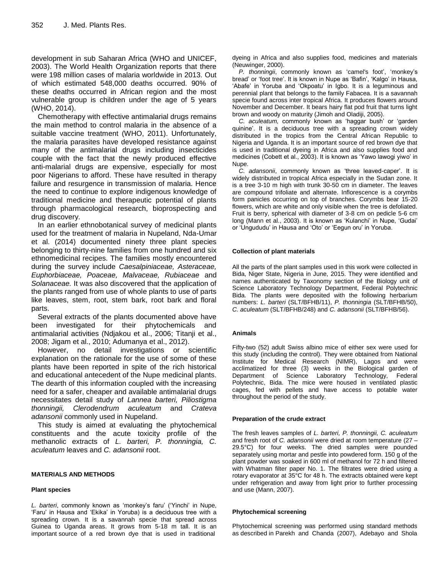development in sub Saharan Africa (WHO and UNICEF, 2003). The World Health Organization reports that there were 198 million cases of malaria worldwide in 2013. Out of which estimated 548,000 deaths occurred. 90% of these deaths occurred in African region and the most vulnerable group is children under the age of 5 years (WHO, 2014).

Chemotherapy with effective antimalarial drugs remains the main method to control malaria in the absence of a suitable vaccine treatment (WHO, 2011). Unfortunately, the malaria parasites have developed resistance against many of the antimalarial drugs including insecticides couple with the fact that the newly produced effective anti-malarial drugs are expensive, especially for most poor Nigerians to afford. These have resulted in therapy failure and resurgence in transmission of malaria. Hence the need to continue to explore indigenous knowledge of traditional medicine and therapeutic potential of plants through pharmacological research, bioprospecting and drug discovery.

In an earlier ethnobotanical survey of medicinal plants used for the treatment of malaria in Nupeland, Nda-Umar et al. (2014) documented ninety three plant species belonging to thirty-nine families from one hundred and six ethnomedicinal recipes. The families mostly encountered during the survey include *Caesalpiniaceae, Asteraceae, Euphorbiaceae, Poaceae, Malvaceae, Rubiaceae* and *Solanaceae.* It was also discovered that the application of the plants ranged from use of whole plants to use of parts like leaves, stem, root, stem bark, root bark and floral parts.

Several extracts of the plants documented above have been investigated for their phytochemicals and antimalarial activities (Ndjakou et al., 2006; Titanji et al., 2008; Jigam et al., 2010; Adumanya et al., 2012).

However, no detail investigations or scientific explanation on the rationale for the use of some of these plants have been reported in spite of the rich historical and educational antecedent of the Nupe medicinal plants. The dearth of this information coupled with the increasing need for a safer, cheaper and available antimalarial drugs necessitates detail study of *Lannea barteri, Piliostigma thonningii, Clerodendrum aculeatum* and *Crateva adansonii* commonly used in Nupeland.

This study is aimed at evaluating the phytochemical constituents and the acute toxicity profile of the methanolic extracts of *L. barteri, P. thonningia, C. aculeatum* leaves and *C. adansonii* root.

## **MATERIALS AND METHODS**

#### **Plant species**

*L. barteri*, commonly known as 'monkey's faru' ('Yinchi' in Nupe, 'Faru' in Hausa and 'Ekika' in Yoruba) is a deciduous tree with a spreading crown. It is a savannah specie that spread across Guinea to Uganda areas. It grows from 5-18 m tall. It is an important source of a red brown dye that is used in traditional

dyeing in Africa and also supplies food, medicines and materials (Neuwinger, 2000).

*P. thonningii*, commonly known as 'camel's foot', 'monkey's bread' or 'foot tree'. It is known in Nupe as 'Bafin', 'Kalgo' in Hausa, 'Abafe' in Yoruba and 'Okpoatu' in Igbo. It is a leguminous and perennial plant that belongs to the family Fabacea. It is a savannah specie found across inter tropical Africa. It produces flowers around November and December. It bears hairy flat pod fruit that turns light brown and woody on maturity (Jimoh and Oladiji, 2005).

*C. aculeatum,* commonly known as 'haggar bush' or 'garden quinine'. It is a deciduous tree with a spreading crown widely distributed in the tropics from the Central African Republic to Nigeria and Uganda. It is an important source of red brown dye that is used in traditional dyeing in Africa and also supplies food and medicines (Cobett et al., 2003). It is known as 'Yawo lawogi yiwo' in Nupe.

*C. adansonii*, commonly known as 'three leaved-caper'. It is widely distributed in tropical Africa especially in the Sudan zone. It is a tree 3-10 m high with trunk 30-50 cm in diameter. The leaves are compound trifoliate and alternate. Inflorescence is a corymbs form panicles occurring on top of branches. Corymbs bear 15-20 flowers, which are white and only visible when the tree is defoliated. Fruit is berry, spherical with diameter of 3-8 cm on pedicle 5-6 cm long (Mann et al., 2003). It is known as 'Kulanchi' in Nupe, 'Gudai' or 'Ungududu' in Hausa and 'Oto' or 'Eegun oru' in Yoruba.

#### **Collection of plant materials**

All the parts of the plant samples used in this work were collected in Bida, Niger State, Nigeria in June, 2015. They were identified and names authenticated by Taxonomy section of the Biology unit of Science Laboratory Technology Department, Federal Polytechnic Bida. The plants were deposited with the following herbarium numbers: *L. barteri* (SLT/BFHB/11), *P. thonningia* (SLT/BFHB/50), *C. aculeatum* (SLT/BFHB/248) and *C. adansonii* (SLT/BFHB/56).

#### **Animals**

Fifty-two (52) adult Swiss albino mice of either sex were used for this study (including the control). They were obtained from National Institute for Medical Research (NIMR), Lagos and were acclimatized for three (3) weeks in the Biological garden of Department of Science Laboratory Technology, Federal Polytechnic, Bida. The mice were housed in ventilated plastic cages, fed with pellets and have access to potable water throughout the period of the study.

#### **Preparation of the crude extract**

The fresh leaves samples of *L. barteri, P. thonningii, C. aculeatum* and fresh root of *C. adansonii* were dried at room temperature (27 – 29.5°C) for four weeks. The dried samples were pounded separately using mortar and pestle into powdered form. 150 g of the plant powder was soaked in 600 ml of methanol for 72 h and filtered with Whatman filter paper No. 1. The filtrates were dried using a rotary evaporator at 35°C for 48 h. The extracts obtained were kept under refrigeration and away from light prior to further processing and use (Mann, 2007).

#### **Phytochemical screening**

Phytochemical screening was performed using standard methods as described in Parekh and Chanda (2007), Adebayo and Shola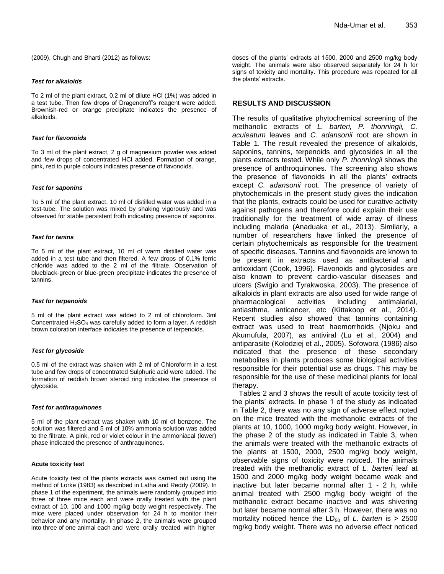(2009), Chugh and Bharti (2012) as follows:

#### *Test for alkaloids*

To 2 ml of the plant extract, 0.2 ml of dilute HCl (1%) was added in a test tube. Then few drops of Dragendroff's reagent were added. Brownish-red or orange precipitate indicates the presence of alkaloids.

#### *Test for flavonoids*

To 3 ml of the plant extract, 2 g of magnesium powder was added and few drops of concentrated HCl added. Formation of orange, pink, red to purple colours indicates presence of flavonoids.

#### *Test for saponins*

To 5 ml of the plant extract, 10 ml of distilled water was added in a test-tube. The solution was mixed by shaking vigorously and was observed for stable persistent froth indicating presence of saponins.

#### *Test for tanins*

To 5 ml of the plant extract, 10 ml of warm distilled water was added in a test tube and then filtered. A few drops of 0.1% ferric chloride was added to the 2 ml of the filtrate. Observation of blueblack-green or blue-green precipitate indicates the presence of tannins.

#### *Test for terpenoids*

5 ml of the plant extract was added to 2 ml of chloroform. 3ml Concentrated  $H<sub>2</sub>SO<sub>4</sub>$  was carefully added to form a layer. A reddish brown coloration interface indicates the presence of terpenoids.

#### *Test for glycoside*

0.5 ml of the extract was shaken with 2 ml of Chloroform in a test tube and few drops of concentrated Sulphuric acid were added. The formation of reddish brown steroid ring indicates the presence of glycoside.

#### *Test for anthraquinones*

5 ml of the plant extract was shaken with 10 ml of benzene. The solution was filtered and 5 ml of 10% ammonia solution was added to the filtrate. A pink, red or violet colour in the ammoniacal (lower) phase indicated the presence of anthraquinones.

#### **Acute toxicity test**

Acute toxicity test of the plants extracts was carried out using the method of Lorke (1983) as described in Latha and Reddy (2009). In phase 1 of the experiment, the animals were randomly grouped into three of three mice each and were orally treated with the plant extract of 10, 100 and 1000 mg/kg body weight respectively. The mice were placed under observation for 24 h to monitor their behavior and any mortality. In phase 2, the animals were grouped into three of one animal each and were orally treated with higher

doses of the plants' extracts at 1500, 2000 and 2500 mg/kg body weight. The animals were also observed separately for 24 h for signs of toxicity and mortality. This procedure was repeated for all the plants' extracts.

## **RESULTS AND DISCUSSION**

The results of qualitative phytochemical screening of the methanolic extracts of *L. barteri, P. thonningii, C. aculeatum* leaves and *C. adansonii* root are shown in Table 1. The result revealed the presence of alkaloids, saponins, tannins, terpenoids and glycosides in all the plants extracts tested. While only *P. thonningii* shows the presence of anthroquinones. The screening also shows the presence of flavonoids in all the plants' extracts except *C. adansonii* root*.* The presence of variety of phytochemicals in the present study gives the indication that the plants, extracts could be used for curative activity against pathogens and therefore could explain their use traditionally for the treatment of wide array of illness including malaria (Anaduaka et al., 2013). Similarly, a number of researchers have linked the presence of certain phytochemicals as responsible for the treatment of specific diseases. Tannins and flavonoids are known to be present in extracts used as antibacterial and antioxidant (Cook, 1996). Flavonoids and glycosides are also known to prevent cardio-vascular diseases and ulcers (Swigio and Tyrakwoska, 2003). The presence of alkaloids in plant extracts are also used for wide range of pharmacological activities including antimalarial, antiasthma, anticancer, etc (Kittakoop et al., 2014). Recent studies also showed that tannins containing extract was used to treat haemorrhoids (Njoku and Akumufula, 2007), as antiviral (Lu et al., 2004) and antiparasite (Kolodziej et al., 2005). Sofowora (1986) also indicated that the presence of these secondary metabolites in plants produces some biological activities responsible for their potential use as drugs. This may be responsible for the use of these medicinal plants for local therapy.

Tables 2 and 3 shows the result of acute toxicity test of the plants' extracts. In phase 1 of the study as indicated in Table 2, there was no any sign of adverse effect noted on the mice treated with the methanolic extracts of the plants at 10, 1000, 1000 mg/kg body weight. However, in the phase 2 of the study as indicated in Table 3, when the animals were treated with the methanolic extracts of the plants at 1500, 2000, 2500 mg/kg body weight, observable signs of toxicity were noticed. The animals treated with the methanolic extract of *L. barteri* leaf at 1500 and 2000 mg/kg body weight became weak and inactive but later became normal after 1 - 2 h, while animal treated with 2500 mg/kg body weight of the methanolic extract became inactive and was shivering but later became normal after 3 h. However, there was no mortality noticed hence the  $LD_{50}$  of *L. barteri* is  $> 2500$ mg/kg body weight. There was no adverse effect noticed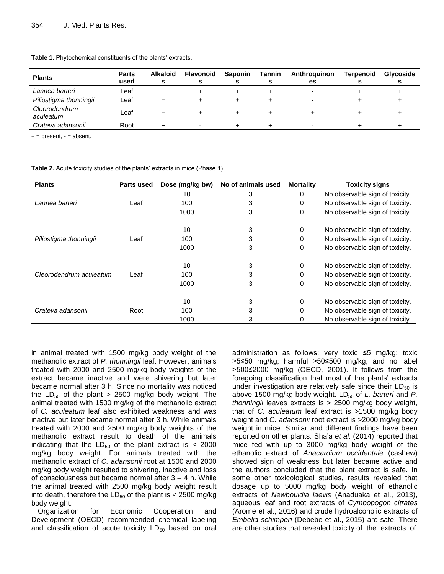| <b>Plants</b>              | <b>Parts</b> | <b>Alkaloid</b> | <b>Flavonoid</b>         | <b>Saponin</b> | <b>Tannin</b> | Anthroquinon | <b>Terpenoid</b> | Glycoside |
|----------------------------|--------------|-----------------|--------------------------|----------------|---------------|--------------|------------------|-----------|
|                            | used         |                 |                          |                |               | es           |                  |           |
| Lannea barteri             | _eaf         |                 |                          |                |               |              |                  |           |
| Piliostigma thonningii     | ∟eaf         |                 |                          |                |               |              |                  |           |
| Cleorodendrum<br>aculeatum | _eaf         |                 |                          |                |               |              |                  |           |
| Crateva adansonii          | Root         |                 | $\overline{\phantom{0}}$ |                |               |              |                  |           |

**Table 1.** Phytochemical constituents of the plants' extracts.

 $+$  = present,  $-$  = absent.

**Table 2.** Acute toxicity studies of the plants' extracts in mice (Phase 1).

| <b>Plants</b>           | <b>Parts used</b> | Dose (mg/kg bw) | No of animals used | <b>Mortality</b> | <b>Toxicity signs</b>           |
|-------------------------|-------------------|-----------------|--------------------|------------------|---------------------------------|
|                         |                   | 10              | 3                  | 0                | No observable sign of toxicity. |
| Lannea barteri          | Leaf              | 100             | 3                  | 0                | No observable sign of toxicity. |
|                         |                   | 1000            | 3                  | 0                | No observable sign of toxicity. |
|                         |                   | 10              | 3                  | 0                | No observable sign of toxicity. |
| Piliostigma thonningii  | Leaf              | 100             | 3                  | 0                | No observable sign of toxicity. |
|                         |                   | 1000            | 3                  | 0                | No observable sign of toxicity. |
|                         |                   | 10              | 3                  | 0                | No observable sign of toxicity. |
| Cleorodendrum aculeatum | Leaf              | 100             | 3                  | 0                | No observable sign of toxicity. |
|                         |                   | 1000            | 3                  | 0                | No observable sign of toxicity. |
|                         |                   | 10              | 3                  | 0                | No observable sign of toxicity. |
| Crateva adansonii       | Root              | 100             | 3                  | 0                | No observable sign of toxicity. |
|                         |                   | 1000            | 3                  | 0                | No observable sign of toxicity. |

in animal treated with 1500 mg/kg body weight of the methanolic extract of *P. thonningii* leaf. However, animals treated with 2000 and 2500 mg/kg body weights of the extract became inactive and were shivering but later became normal after 3 h. Since no mortality was noticed the  $LD_{50}$  of the plant > 2500 mg/kg body weight. The animal treated with 1500 mg/kg of the methanolic extract of *C. aculeatum* leaf also exhibited weakness and was inactive but later became normal after 3 h. While animals treated with 2000 and 2500 mg/kg body weights of the methanolic extract result to death of the animals indicating that the  $LD_{50}$  of the plant extract is  $<$  2000 mg/kg body weight. For animals treated with the methanolic extract of *C. adansonii* root at 1500 and 2000 mg/kg body weight resulted to shivering, inactive and loss of consciousness but became normal after 3 – 4 h. While the animal treated with 2500 mg/kg body weight result into death, therefore the  $LD_{50}$  of the plant is  $<$  2500 mg/kg body weight.

Organization for Economic Cooperation and Development (OECD) recommended chemical labeling and classification of acute toxicity  $LD_{50}$  based on oral administration as follows: very toxic ≤5 mg/kg; toxic >5≤50 mg/kg; harmful >50≤500 mg/kg; and no label >500≤2000 mg/kg (OECD, 2001). It follows from the foregoing classification that most of the plants' extracts under investigation are relatively safe since their  $LD_{50}$  is above 1500 mg/kg body weight. LD<sub>50</sub> of *L. barteri* and *P. thonningii* leaves extracts is > 2500 mg/kg body weight, that of *C. aculeatum* leaf extract is >1500 mg/kg body weight and *C. adansonii* root extract is >2000 mg/kg body weight in mice. Similar and different findings have been reported on other plants. Sha'a *et al*. (2014) reported that mice fed with up to 3000 mg/kg body weight of the ethanolic extract of *Anacardium occidentale* (cashew) showed sign of weakness but later became active and the authors concluded that the plant extract is safe. In some other toxicological studies, results revealed that dosage up to 5000 mg/kg body weight of ethanolic extracts of *Newbouldia laevis* (Anaduaka et al., 2013), aqueous leaf and root extracts of *Cymbopogon citrates* (Arome et al., 2016) and crude hydroalcoholic extracts of *Embelia schimperi* (Debebe et al., 2015) are safe. There are other studies that revealed toxicity of the extracts of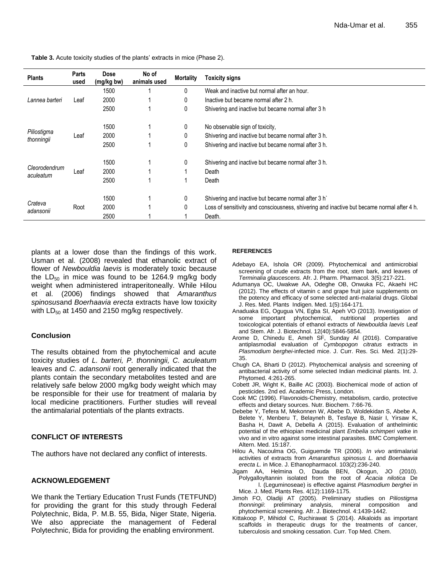| Plants                     | Parts<br>used | Dose<br>(mg/kg bw) | No of<br>animals used | <b>Mortality</b> | <b>Toxicity signs</b>                                                                      |
|----------------------------|---------------|--------------------|-----------------------|------------------|--------------------------------------------------------------------------------------------|
|                            |               | 1500               |                       | 0                | Weak and inactive but normal after an hour.                                                |
| Lannea barteri             | Leaf          | 2000               |                       | 0                | Inactive but became normal after 2 h.                                                      |
|                            |               | 2500               |                       | 0                | Shivering and inactive but became normal after 3 h                                         |
| Piliostigma<br>thonningii  |               | 1500               |                       | 0                | No observable sign of toxicity,                                                            |
|                            | Leaf          | 2000               |                       | 0                | Shivering and inactive but became normal after 3 h.                                        |
|                            |               | 2500               |                       | 0                | Shivering and inactive but became normal after 3 h.                                        |
| Cleorodendrum<br>aculeatum | Leaf          | 1500               |                       | 0                | Shivering and inactive but became normal after 3 h.                                        |
|                            |               | 2000               |                       |                  | Death                                                                                      |
|                            |               |                    | 2500                  |                  |                                                                                            |
| Crateva<br>adansonii       |               | 1500               |                       | 0                | Shivering and inactive but became normal after 3 h'                                        |
|                            | Root          | 2000               |                       | 0                | Loss of sensitivity and consciousness, shivering and inactive but became normal after 4 h. |
|                            |               | 2500               |                       |                  | Death.                                                                                     |

**Table 3.** Acute toxicity studies of the plants' extracts in mice (Phase 2).

plants at a lower dose than the findings of this work. Usman et al. (2008) revealed that ethanolic extract of flower of *Newbouldia laevis* is moderately toxic because the  $LD_{50}$  in mice was found to be 1264.9 mg/kg body weight when administered intraperitoneally. While Hilou et al. (2006) findings showed that *Amaranthus spinosus*and *Boerhaavia erecta* extracts have low toxicity with  $LD_{50}$  at 1450 and 2150 mg/kg respectively.

## **Conclusion**

The results obtained from the phytochemical and acute toxicity studies of *L. barteri, P. thonningii, C. aculeatum* leaves and *C. adansonii* root generally indicated that the plants contain the secondary metabolites tested and are relatively safe below 2000 mg/kg body weight which may be responsible for their use for treatment of malaria by local medicine practitioners. Further studies will reveal the antimalarial potentials of the plants extracts.

## **CONFLICT OF INTERESTS**

The authors have not declared any conflict of interests.

## **ACKNOWLEDGEMENT**

We thank the Tertiary Education Trust Funds (TETFUND) for providing the grant for this study through Federal Polytechnic, Bida, P. M.B. 55, Bida, Niger State, Nigeria. We also appreciate the management of Federal Polytechnic, Bida for providing the enabling environment.

## **REFERENCES**

- Adebayo EA, Ishola OR (2009). Phytochemical and antimicrobial screening of crude extracts from the root, stem bark, and leaves of *Terminalia glaucescens.* Afr. J. Pharm. Pharmacol. 3(5):217-221.
- Adumanya OC, Uwakwe AA, Odeghe OB, Onwuka FC, Akaehi HC (2012). The effects of vitamin c and grape fruit juice supplements on the potency and efficacy of some selected anti-malarial drugs. Global J. Res. Med. Plants Indigen. Med. 1(5):164-171*.*
- Anaduaka EG, Ogugua VN, Egba SI, Apeh VO (2013). Investigation of some important phytochemical, nutritional properties and toxicological potentials of ethanol extracts of *Newbouldia laevis* Leaf and Stem. Afr. J. Biotechnol. 12(40):5846-5854.
- Arome D, Chinedu E, Ameh SF, Sunday AI (2016). Comparative antiplasmodial evaluation of *Cymbopogon citratus* extracts in *Plasmodium berghei*‑infected mice. J. Curr. Res. Sci. Med. 2(1):29- 35.
- Chugh CA, Bharti D (2012). Phytochemical analysis and screening of antibacterial activity of some selected Indian medicinal plants. Int. J. Phytomed. 4:261-265.
- Cobett JR, Wight K, Baille AC (2003). Biochemical mode of action of pesticides. 2nd ed. Academic Press, London.
- Cook MC (1996). Flavonoids-Chemistry, metabolism, cardio, protective effects and dietary sources. Nutr. Biochem. 7:66-76.
- Debebe Y, Tefera M, Mekonnen W, Abebe D, Woldekidan S, Abebe A, Belete Y, Menberu T, Belayneh B, Tesfaye B, Nasir I, Yirsaw K, Basha H, Dawit A, Debella A (2015). Evaluation of anthelmintic potential of the ethiopian medicinal plant *Embelia schimperi* vatke in vivo and in vitro against some intestinal parasites. BMC Complement. Altern. Med. 15:187.
- Hilou A, Nacoulma OG, Guiguemde TR (2006). *In vivo* antimalarial activities of extracts from *Amaranthus spinosus L.* and *Boerhaavia erecta L.* in Mice. J. Ethanopharmacol. 103(2):236-240.
- Jigam AA, Helmina O, Dauda BEN, Okogun, JO (2010). Polygalloyltannin isolated from the root of *Acacia nilotica* De l. (Leguminoseae) is effective against *Plasmodium berghei* in Mice. J. Med. Plants Res. 4(12):1169-1175.
- Jimoh FO, Oladiji AT (2005). Preliminary studies on *Piliostigma thonningii*: preliminary analysis, mineral composition phytochemical screening. Afr. J. Biotechnol. 4:1439-1442.
- Kittakoop P, Mihidol C, Ruchirawat S (2014). Alkaloids as important scaffolds in therapeutic drugs for the treatments of cancer, tuberculosis and smoking cessation. Curr. Top Med. Chem.